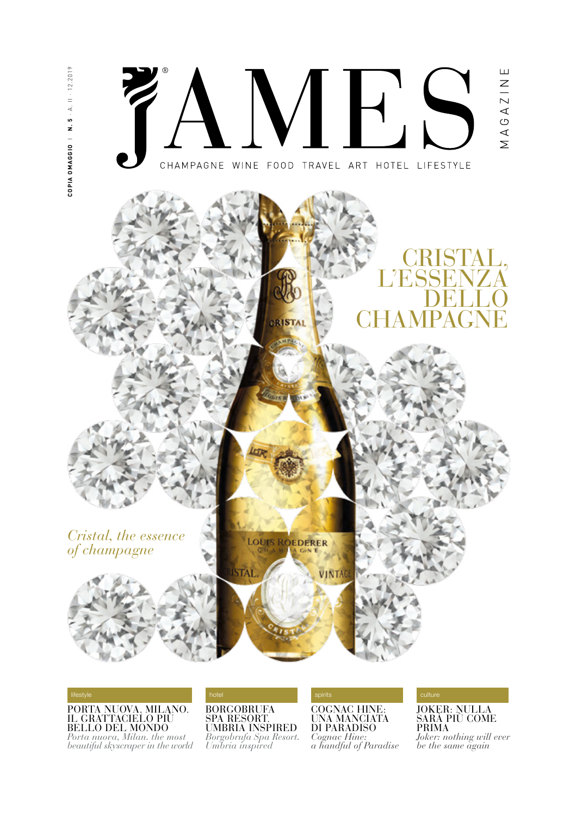

PORTA NUOVA, MILANO.<br>IL GRATTACIELO PIÙ BELLO DEL MONDO

*Porta nuova, Milan. the most beautiful skyscraper in the world*  BORGOBRUFA SPA RESORT. UMBRIA INSPIRED *Borgobrufa Spa Resort. Umbria inspired*

COGNAC HINE: UNA MANCIATA DI PARADISO *Cognac Hine: a handful of Paradise* JOKER: NULLA SARÀ PIÙ COME PRIMA

*Joker: nothing will ever be the same again*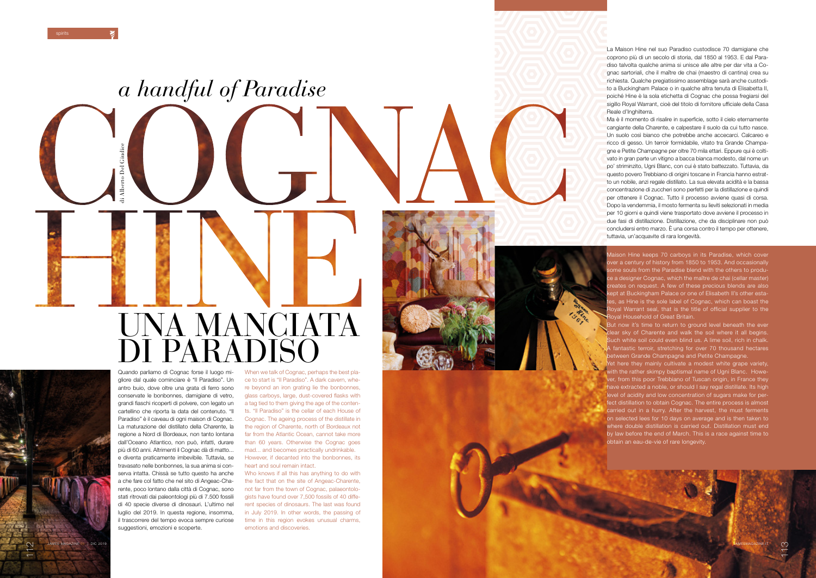<u>ನ್ನ</u>



La Maison Hine nel suo Paradiso custodisce 70 damigiane che coprono più di un secolo di storia, dal 1850 al 1953. E dal Para diso talvolta qualche anima si unisce alle altre per dar vita a Co gnac sartoriali, che il maître de chai (maestro di cantina) crea su richiesta. Qualche pregiatissimo assemblage sarà anche custodi to a Buckingham Palace o in qualche altra tenuta di Elisabetta II, poiché Hine è la sola etichetta di Cognac che possa fregiarsi del sigillo Royal Warrant, cioè del titolo di fornitore ufficiale della Casa Reale d'Inghilterra.

Ma è il momento di risalire in superficie, sotto il cielo eternamente cangiante della Charente, e calpestare il suolo da cui tutto nasce. Un suolo così bianco che potrebbe anche accecarci. Calcareo e ricco di gesso. Un terroir formidabile, vitato tra Grande Champa gne e Petite Champagne per oltre 70 mila ettari. Eppure qui è colti vato in gran parte un vitigno a bacca bianca modesto, dal nome un po' striminzito, Ugni Blanc, con cui è stato battezzato. Tuttavia, da questo povero Trebbiano di origini toscane in Francia hanno estrat to un nobile, anzi regale distillato. La sua elevata acidità e la bassa concentrazione di zuccheri sono perfetti per la distillazione e quindi per ottenere il Cognac. Tutto il processo avviene quasi di corsa. Dopo la vendemmia, il mosto fermenta su lieviti selezionati in media per 10 giorni e quindi viene trasportato dove avviene il processo in due fasi di distillazione. Distillazione, che da disciplinare non può concludersi entro marzo. È una corsa contro il tempo per ottenere, tuttavia, un'acquavite di rara longevità.



spirits

Maison Hine keeps 70 carboys in its Paradise, which cover ver a century of history from 1850 to 1953. And occasionally some souls from the Paradise blend with the others to produ e a designer Cognac, which the maître de chai (cellar master) reates on request. A few of these precious blends are also kept at Buckingham Palace or one of Elisabeth II's other esta es, as Hine is the sole label of Cognac, which can boast the oyal Warrant seal, that is the title of official supplier to the oyal Household of Great Britain.

Quando parliamo di Cognac forse il luogo mi gliore dal quale cominciare è "Il Paradiso". Un antro buio, dove oltre una grata di ferro sono conservate le bonbonnes, damigiane di vetro, grandi fiaschi ricoperti di polvere, con legato un cartellino che riporta la data del contenuto. "Il Paradiso" è il caveau di ogni maison di Cognac. La maturazione del distillato della Charente, la regione a Nord di Bordeaux, non tanto lontana dall'Oceano Atlantico, non può, infatti, durare più di 60 anni. Altrimenti il Cognac dà di matto... e diventa praticamente imbevibile. Tuttavia, se travasato nelle bonbonnes, la sua anima si con serva intatta. Chissà se tutto questo ha anche a che fare col fatto che nel sito di Angeac-Cha rente, poco lontano dalla città di Cognac, sono stati ritrovati dai paleontologi più di 7.500 fossili di 40 specie diverse di dinosauri. L'ultimo nel luglio del 2019. In questa regione, insomma, il trascorrere del tempo evoca sempre curiose suggestioni, emozioni e scoperte.



When we talk of Cognac, perhaps the best pla ce to start is "Il Paradiso". A dark cavern, whe re beyond an iron grating lie the bonbonnes, glass carboys, large, dust-covered flasks with a tag tied to them giving the age of the conten ts. "Il Paradiso" is the cellar of each House of Cognac. The ageing process of the distillate in the region of Charente, north of Bordeaux not far from the Atlantic Ocean, cannot take more than 60 years. Otherwise the Cognac goes mad... and becomes practically undrinkable. However, if decanted into the bonbonnes, its heart and soul remain intact.

Who knows if all this has anything to do with the fact that on the site of Angeac-Charente, not far from the town of Cognac, palaeontolo gists have found over 7,500 fossils of 40 diffe rent species of dinosaurs. The last was found in July 2019. In other words, the passing of time in this region evokes unusual charms, emotions and discoveries.

But now it's time to return to ground level beneath the ever lear sky of Charente and walk the soil where it all begins. Such white soil could even blind us. A lime soil, rich in chalk. A fantastic terroir, stretching for over 70 thousand hectares between Grande Champagne and Petite Champagne.

Yet here they mainly cultivate a modest white grape variety, with the rather skimpy baptismal name of Ugni Blanc. However, from this poor Trebbiano of Tuscan origin, in France they have extracted a noble, or should I say regal distillate. Its high level of acidity and low concentration of sugars make for per fect distillation to obtain Cognac. The entire process is almost carried out in a hurry. After the harvest, the must ferments on selected lees for 10 days on average and is then taken to where double distillation is carried out. Distillation must end by law before the end of March. This is a race against time to obtain an eau-de-vie of rare longevity.